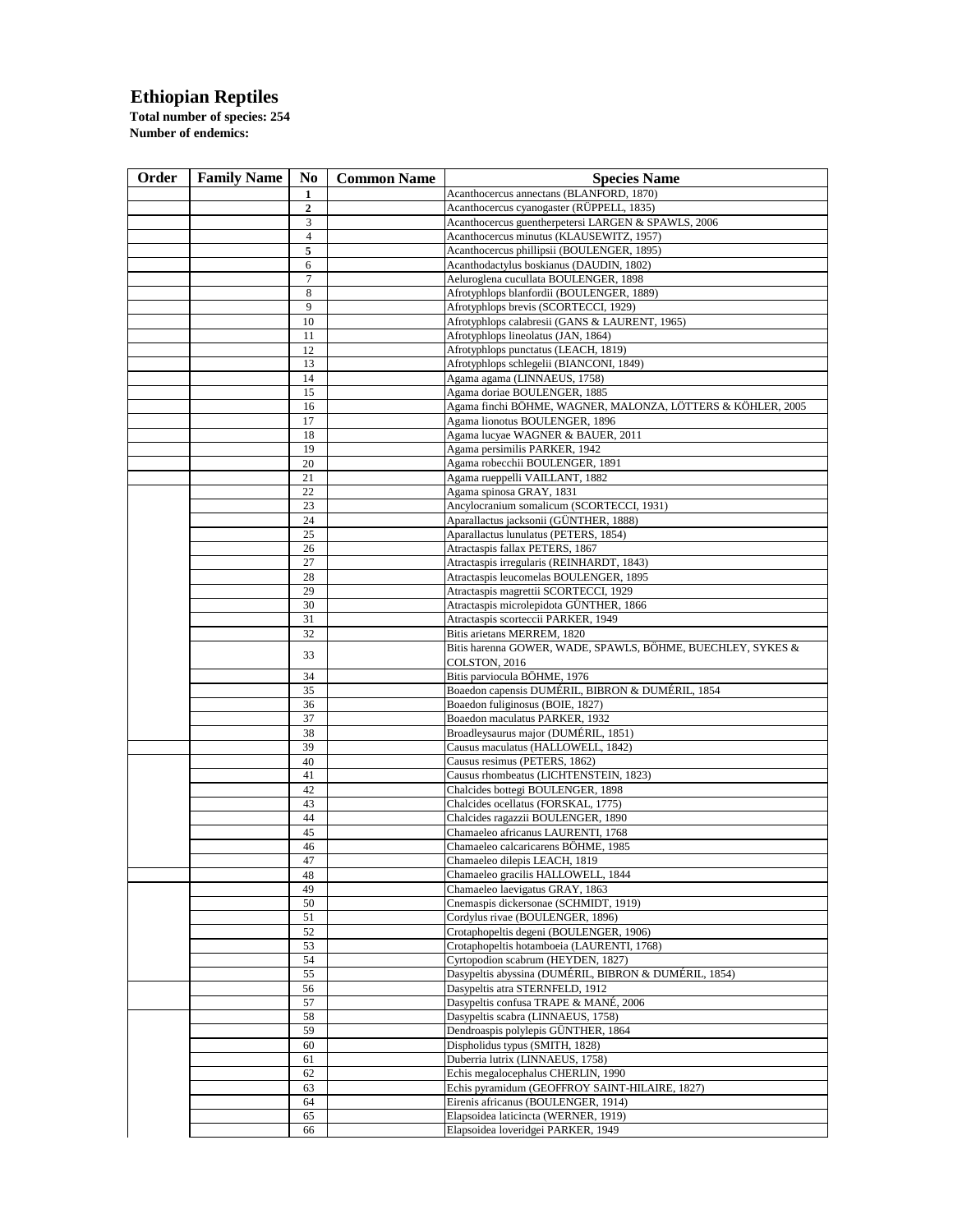## **Ethiopian Reptiles**

**Total number of species: 254 Number of endemics:** 

| Order | <b>Family Name</b> | No             | <b>Common Name</b> | <b>Species Name</b>                                                                         |
|-------|--------------------|----------------|--------------------|---------------------------------------------------------------------------------------------|
|       |                    | 1              |                    | Acanthocercus annectans (BLANFORD, 1870)                                                    |
|       |                    | 2              |                    | Acanthocercus cyanogaster (RÜPPELL, 1835)                                                   |
|       |                    | 3              |                    | Acanthocercus guentherpetersi LARGEN & SPAWLS, 2006                                         |
|       |                    | $\overline{4}$ |                    | Acanthocercus minutus (KLAUSEWITZ, 1957)                                                    |
|       |                    | 5              |                    | Acanthocercus phillipsii (BOULENGER, 1895)                                                  |
|       |                    | 6              |                    | Acanthodactylus boskianus (DAUDIN, 1802)                                                    |
|       |                    | 7              |                    | Aeluroglena cucullata BOULENGER, 1898                                                       |
|       |                    | 8              |                    | Afrotyphlops blanfordii (BOULENGER, 1889)                                                   |
|       |                    | 9              |                    | Afrotyphlops brevis (SCORTECCI, 1929)                                                       |
|       |                    | 10             |                    | Afrotyphlops calabresii (GANS & LAURENT, 1965)                                              |
|       |                    | 11<br>12       |                    | Afrotyphlops lineolatus (JAN, 1864)<br>Afrotyphlops punctatus (LEACH, 1819)                 |
|       |                    | 13             |                    | Afrotyphlops schlegelii (BIANCONI, 1849)                                                    |
|       |                    | 14             |                    | Agama agama (LINNAEUS, 1758)                                                                |
|       |                    | 15             |                    | Agama doriae BOULENGER, 1885                                                                |
|       |                    | 16             |                    | Agama finchi BÖHME, WAGNER, MALONZA, LÖTTERS & KÖHLER, 2005                                 |
|       |                    | 17             |                    | Agama lionotus BOULENGER, 1896                                                              |
|       |                    | 18             |                    | Agama lucyae WAGNER & BAUER, 2011                                                           |
|       |                    | 19             |                    | Agama persimilis PARKER, 1942                                                               |
|       |                    | 20             |                    | Agama robecchii BOULENGER, 1891                                                             |
|       |                    | 21             |                    | Agama rueppelli VAILLANT, 1882                                                              |
|       |                    | 22             |                    | Agama spinosa GRAY, 1831                                                                    |
|       |                    | 23             |                    | Ancylocranium somalicum (SCORTECCI, 1931)                                                   |
|       |                    | 24             |                    | Aparallactus jacksonii (GÜNTHER, 1888)                                                      |
|       |                    | 25             |                    | Aparallactus lunulatus (PETERS, 1854)                                                       |
|       |                    | 26             |                    | Atractaspis fallax PETERS, 1867                                                             |
|       |                    | 27             |                    | Atractaspis irregularis (REINHARDT, 1843)                                                   |
|       |                    | 28<br>29       |                    | Atractaspis leucomelas BOULENGER, 1895<br>Atractaspis magrettii SCORTECCI, 1929             |
|       |                    | 30             |                    | Atractaspis microlepidota GUNTHER, 1866                                                     |
|       |                    | 31             |                    | Atractaspis scorteccii PARKER, 1949                                                         |
|       |                    | 32             |                    | Bitis arietans MERREM, 1820                                                                 |
|       |                    |                |                    | Bitis harenna GOWER, WADE, SPAWLS, BÖHME, BUECHLEY, SYKES &                                 |
|       |                    | 33             |                    | COLSTON, 2016                                                                               |
|       |                    | 34             |                    | Bitis parviocula BÖHME, 1976                                                                |
|       |                    | 35             |                    | Boaedon capensis DUMÉRIL, BIBRON & DUMÉRIL, 1854                                            |
|       |                    | 36             |                    | Boaedon fuliginosus (BOIE, 1827)                                                            |
|       |                    | 37             |                    | Boaedon maculatus PARKER, 1932                                                              |
|       |                    | 38             |                    | Broadleysaurus major (DUMÉRIL, 1851)                                                        |
|       |                    | 39<br>40       |                    | Causus maculatus (HALLOWELL, 1842)<br>Causus resimus (PETERS, 1862)                         |
|       |                    | 41             |                    | Causus rhombeatus (LICHTENSTEIN, 1823)                                                      |
|       |                    | 42             |                    | Chalcides bottegi BOULENGER, 1898                                                           |
|       |                    | 43             |                    | Chalcides ocellatus (FORSKAL, 1775)                                                         |
|       |                    | 44             |                    | Chalcides ragazzii BOULENGER, 1890                                                          |
|       |                    | 45             |                    | Chamaeleo africanus LAURENTI, 1768                                                          |
|       |                    | 46             |                    | Chamaeleo calcaricarens BÖHME, 1985                                                         |
|       |                    | 47             |                    | Chamaeleo dilepis LEACH, 1819                                                               |
|       |                    | 48             |                    | Chamaeleo gracilis HALLOWELL, 1844                                                          |
|       |                    | 49             |                    | Chamaeleo laevigatus GRAY, 1863                                                             |
|       |                    | 50             |                    | Cnemaspis dickersonae (SCHMIDT, 1919)                                                       |
|       |                    | 51             |                    | Cordylus rivae (BOULENGER, 1896)                                                            |
|       |                    | 52             |                    | Crotaphopeltis degeni (BOULENGER, 1906)                                                     |
|       |                    | 53             |                    | Crotaphopeltis hotamboeia (LAURENTI, 1768)                                                  |
|       |                    | 54<br>55       |                    | Cyrtopodion scabrum (HEYDEN, 1827)<br>Dasypeltis abyssina (DUMÉRIL, BIBRON & DUMÉRIL, 1854) |
|       |                    | 56             |                    | Dasypeltis atra STERNFELD, 1912                                                             |
|       |                    | 57             |                    | Dasypeltis confusa TRAPE & MANÉ, 2006                                                       |
|       |                    | 58             |                    | Dasypeltis scabra (LINNAEUS, 1758)                                                          |
|       |                    | 59             |                    | Dendroaspis polylepis GÜNTHER, 1864                                                         |
|       |                    | 60             |                    | Dispholidus typus (SMITH, 1828)                                                             |
|       |                    | 61             |                    | Duberria lutrix (LINNAEUS, 1758)                                                            |
|       |                    | 62             |                    | Echis megalocephalus CHERLIN, 1990                                                          |
|       |                    | 63             |                    | Echis pyramidum (GEOFFROY SAINT-HILAIRE, 1827)                                              |
|       |                    | 64             |                    | Eirenis africanus (BOULENGER, 1914)                                                         |
|       |                    | 65             |                    | Elapsoidea laticincta (WERNER, 1919)                                                        |
|       |                    | 66             |                    | Elapsoidea loveridgei PARKER, 1949                                                          |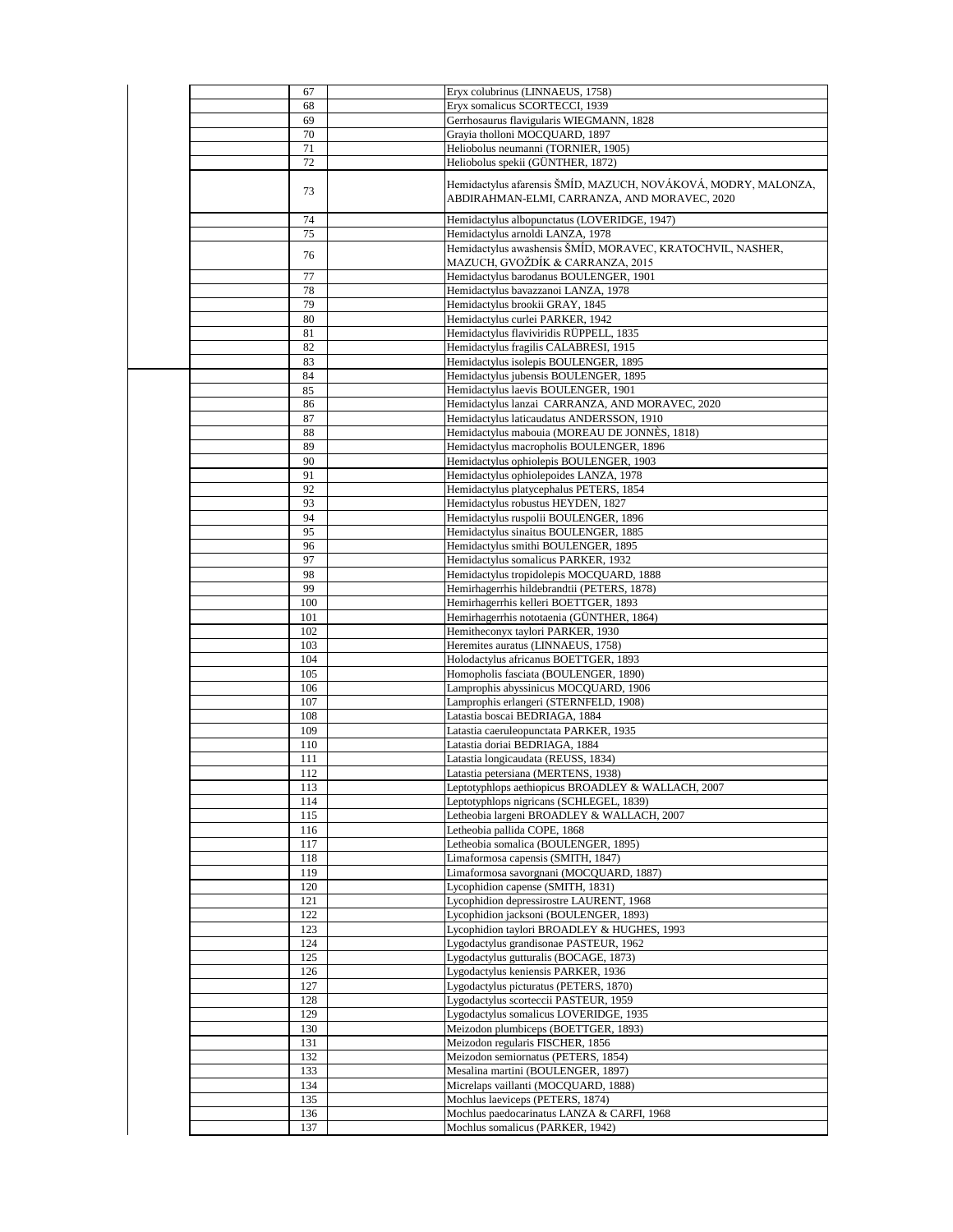| 67         | Eryx colubrinus (LINNAEUS, 1758)                                                                               |
|------------|----------------------------------------------------------------------------------------------------------------|
| 68         | Eryx somalicus SCORTECCI, 1939                                                                                 |
| 69         | Gerrhosaurus flavigularis WIEGMANN, 1828                                                                       |
| 70         | Grayia tholloni MOCQUARD, 1897                                                                                 |
| 71         | Heliobolus neumanni (TORNIER, 1905)                                                                            |
| 72         | Heliobolus spekii (GÜNTHER, 1872)                                                                              |
| 73         | Hemidactylus afarensis ŠMÍD, MAZUCH, NOVÁKOVÁ, MODRY, MALONZA,<br>ABDIRAHMAN-ELMI, CARRANZA, AND MORAVEC, 2020 |
| 74         | Hemidactylus albopunctatus (LOVERIDGE, 1947)                                                                   |
| 75         | Hemidactylus arnoldi LANZA, 1978                                                                               |
| 76         | Hemidactylus awashensis ŠMÍD, MORAVEC, KRATOCHVIL, NASHER,<br>MAZUCH, GVOŽDÍK & CARRANZA, 2015                 |
| 77         | Hemidactylus barodanus BOULENGER, 1901                                                                         |
| 78         | Hemidactylus bavazzanoi LANZA, 1978                                                                            |
| 79         | Hemidactylus brookii GRAY, 1845                                                                                |
| 80         | Hemidactylus curlei PARKER, 1942                                                                               |
| 81         | Hemidactylus flaviviridis RÜPPELL, 1835                                                                        |
| 82         | Hemidactylus fragilis CALABRESI, 1915                                                                          |
| 83         | Hemidactylus isolepis BOULENGER, 1895                                                                          |
| 84         | Hemidactylus jubensis BOULENGER, 1895<br>Hemidactylus laevis BOULENGER, 1901                                   |
| 85<br>86   | Hemidactylus lanzai CARRANZA, AND MORAVEC, 2020                                                                |
| 87         | Hemidactylus laticaudatus ANDERSSON, 1910                                                                      |
| 88         | Hemidactylus mabouia (MOREAU DE JONNÈS, 1818)                                                                  |
| 89         | Hemidactylus macropholis BOULENGER, 1896                                                                       |
| 90         | Hemidactylus ophiolepis BOULENGER, 1903                                                                        |
| 91         | Hemidactylus ophiolepoides LANZA, 1978                                                                         |
| 92         | Hemidactylus platycephalus PETERS, 1854                                                                        |
| 93         | Hemidactylus robustus HEYDEN, 1827                                                                             |
| 94         | Hemidactylus ruspolii BOULENGER, 1896                                                                          |
| 95<br>96   | Hemidactylus sinaitus BOULENGER, 1885<br>Hemidactylus smithi BOULENGER, 1895                                   |
| 97         | Hemidactylus somalicus PARKER, 1932                                                                            |
| 98         | Hemidactylus tropidolepis MOCQUARD, 1888                                                                       |
| 99         | Hemirhagerrhis hildebrandtii (PETERS, 1878)                                                                    |
| 100        | Hemirhagerrhis kelleri BOETTGER, 1893                                                                          |
| 101        | Hemirhagerrhis nototaenia (GÜNTHER, 1864)                                                                      |
| 102        | Hemitheconyx taylori PARKER, 1930                                                                              |
| 103        | Heremites auratus (LINNAEUS, 1758)                                                                             |
| 104<br>105 | Holodactylus africanus BOETTGER, 1893<br>Homopholis fasciata (BOULENGER, 1890)                                 |
| 106        | Lamprophis abyssinicus MOCQUARD, 1906                                                                          |
| 107        | Lamprophis erlangeri (STERNFELD, 1908)                                                                         |
| 108        | Latastia boscai BEDRIAGA, 1884                                                                                 |
| 109        | Latastia caeruleopunctata PARKER, 1935                                                                         |
| 110        | Latastia doriai BEDRIAGA, 1884                                                                                 |
| 111        | Latastia longicaudata (REUSS, 1834)                                                                            |
| 112        | Latastia petersiana (MERTENS, 1938)                                                                            |
| 113        | Leptotyphlops aethiopicus BROADLEY & WALLACH, 2007<br>Leptotyphlops nigricans (SCHLEGEL, 1839)                 |
| 114<br>115 | Letheobia largeni BROADLEY & WALLACH, 2007                                                                     |
| 116        | Letheobia pallida COPE, 1868                                                                                   |
| 117        | Letheobia somalica (BOULENGER, 1895)                                                                           |
| 118        | Limaformosa capensis (SMITH, 1847)                                                                             |
| 119        | Limaformosa savorgnani (MOCQUARD, 1887)                                                                        |
| 120        | Lycophidion capense (SMITH, 1831)                                                                              |
| 121        | Lycophidion depressirostre LAURENT, 1968                                                                       |
| 122<br>123 | Lycophidion jacksoni (BOULENGER, 1893)<br>Lycophidion taylori BROADLEY & HUGHES, 1993                          |
| 124        | Lygodactylus grandisonae PASTEUR, 1962                                                                         |
| 125        | Lygodactylus gutturalis (BOCAGE, 1873)                                                                         |
| 126        | Lygodactylus keniensis PARKER, 1936                                                                            |
| 127        | Lygodactylus picturatus (PETERS, 1870)                                                                         |
| 128        | Lygodactylus scorteccii PASTEUR, 1959                                                                          |
| 129        | Lygodactylus somalicus LOVERIDGE, 1935                                                                         |
| 130        | Meizodon plumbiceps (BOETTGER, 1893)                                                                           |
| 131        | Meizodon regularis FISCHER, 1856                                                                               |
| 132<br>133 | Meizodon semiornatus (PETERS, 1854)<br>Mesalina martini (BOULENGER, 1897)                                      |
| 134        | Micrelaps vaillanti (MOCQUARD, 1888)                                                                           |
| 135        | Mochlus laeviceps (PETERS, 1874)                                                                               |
| 136        | Mochlus paedocarinatus LANZA & CARFI, 1968                                                                     |
| 137        | Mochlus somalicus (PARKER, 1942)                                                                               |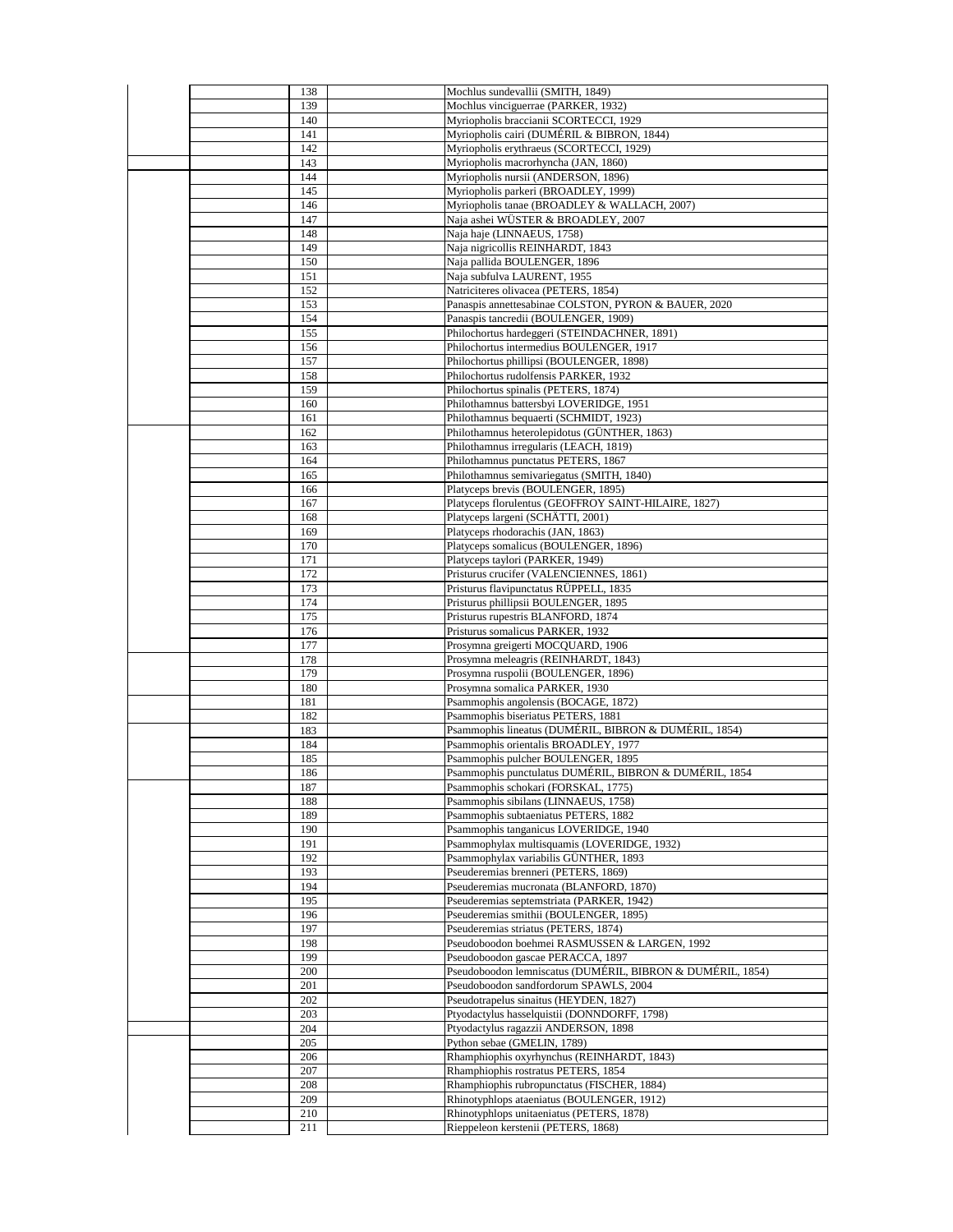| 138        | Mochlus sundevallii (SMITH, 1849)                                                |
|------------|----------------------------------------------------------------------------------|
| 139        | Mochlus vinciguerrae (PARKER, 1932)                                              |
| 140        | Myriopholis braccianii SCORTECCI, 1929                                           |
| 141        | Myriopholis cairi (DUMÉRIL & BIBRON, 1844)                                       |
| 142        | Myriopholis erythraeus (SCORTECCI, 1929)                                         |
| 143        | Myriopholis macrorhyncha (JAN, 1860)                                             |
| 144        | Myriopholis nursii (ANDERSON, 1896)                                              |
| 145        | Myriopholis parkeri (BROADLEY, 1999)                                             |
| 146        | Myriopholis tanae (BROADLEY & WALLACH, 2007)                                     |
| 147        | Naja ashei WÜSTER & BROADLEY, 2007                                               |
| 148        | Naja haje (LINNAEUS, 1758)                                                       |
| 149        | Naja nigricollis REINHARDT, 1843                                                 |
| 150        | Naja pallida BOULENGER, 1896                                                     |
| 151        | Naja subfulva LAURENT, 1955                                                      |
| 152        | Natriciteres olivacea (PETERS, 1854)                                             |
| 153        | Panaspis annettesabinae COLSTON, PYRON & BAUER, 2020                             |
| 154        | Panaspis tancredii (BOULENGER, 1909)                                             |
| 155        | Philochortus hardeggeri (STEINDACHNER, 1891)                                     |
| 156        | Philochortus intermedius BOULENGER, 1917                                         |
| 157        | Philochortus phillipsi (BOULENGER, 1898)                                         |
| 158        | Philochortus rudolfensis PARKER, 1932                                            |
| 159        | Philochortus spinalis (PETERS, 1874)                                             |
| 160        | Philothamnus battersbyi LOVERIDGE, 1951                                          |
| 161        | Philothamnus bequaerti (SCHMIDT, 1923)                                           |
| 162        | Philothamnus heterolepidotus (GÜNTHER, 1863)                                     |
| 163        | Philothamnus irregularis (LEACH, 1819)                                           |
| 164        | Philothamnus punctatus PETERS, 1867                                              |
| 165        | Philothamnus semivariegatus (SMITH, 1840)                                        |
| 166        | Platyceps brevis (BOULENGER, 1895)                                               |
| 167        | Platyceps florulentus (GEOFFROY SAINT-HILAIRE, 1827)                             |
| 168        | Platyceps largeni (SCHÄTTI, 2001)                                                |
| 169        | Platyceps rhodorachis (JAN, 1863)                                                |
| 170        | Platyceps somalicus (BOULENGER, 1896)                                            |
| 171        | Platyceps taylori (PARKER, 1949)                                                 |
| 172        | Pristurus crucifer (VALENCIENNES, 1861)                                          |
| 173        | Pristurus flavipunctatus RÜPPELL, 1835                                           |
| 174        | Pristurus phillipsii BOULENGER, 1895                                             |
| 175        | Pristurus rupestris BLANFORD, 1874                                               |
| 176        | Pristurus somalicus PARKER, 1932                                                 |
| 177        | Prosymna greigerti MOCQUARD, 1906                                                |
| 178        | Prosymna meleagris (REINHARDT, 1843)                                             |
| 179        | Prosymna ruspolii (BOULENGER, 1896)                                              |
| 180        | Prosymna somalica PARKER, 1930                                                   |
| 181        | Psammophis angolensis (BOCAGE, 1872)                                             |
| 182        | Psammophis biseriatus PETERS, 1881                                               |
| 183        | Psammophis lineatus (DUMÉRIL, BIBRON & DUMÉRIL, 1854)                            |
| 184        | Psammophis orientalis BROADLEY, 1977                                             |
| 185        | Psammophis pulcher BOULENGER, 1895                                               |
| 186        | Psammophis punctulatus DUMÉRIL, BIBRON & DUMÉRIL, 1854                           |
| 187        | Psammophis schokari (FORSKAL, 1775)                                              |
| 188        | Psammophis sibilans (LINNAEUS, 1758)                                             |
| 189        | Psammophis subtaeniatus PETERS, 1882                                             |
| 190        | Psammophis tanganicus LOVERIDGE, 1940                                            |
| 191        | Psammophylax multisquamis (LOVERIDGE, 1932)                                      |
| 192        | Psammophylax variabilis GÜNTHER, 1893                                            |
| 193        | Pseuderemias brenneri (PETERS, 1869)                                             |
| 194        | Pseuderemias mucronata (BLANFORD, 1870)                                          |
| 195        | Pseuderemias septemstriata (PARKER, 1942)                                        |
| 196        | Pseuderemias smithii (BOULENGER, 1895)                                           |
| 197        | Pseuderemias striatus (PETERS, 1874)                                             |
| 198        | Pseudoboodon boehmei RASMUSSEN & LARGEN, 1992                                    |
| 199        | Pseudoboodon gascae PERACCA, 1897                                                |
| 200        | Pseudoboodon lemniscatus (DUMÉRIL, BIBRON & DUMÉRIL, 1854)                       |
| 201        | Pseudoboodon sandfordorum SPAWLS, 2004                                           |
| 202        | Pseudotrapelus sinaitus (HEYDEN, 1827)                                           |
| 203        | Ptyodactylus hasselquistii (DONNDORFF, 1798)                                     |
| 204        | Ptyodactylus ragazzii ANDERSON, 1898                                             |
| 205        | Python sebae (GMELIN, 1789)                                                      |
| 206        | Rhamphiophis oxyrhynchus (REINHARDT, 1843)                                       |
| 207        | Rhamphiophis rostratus PETERS, 1854                                              |
| 208        | Rhamphiophis rubropunctatus (FISCHER, 1884)                                      |
| 209        | Rhinotyphlops ataeniatus (BOULENGER, 1912)                                       |
|            |                                                                                  |
| 210<br>211 | Rhinotyphlops unitaeniatus (PETERS, 1878)<br>Rieppeleon kerstenii (PETERS, 1868) |